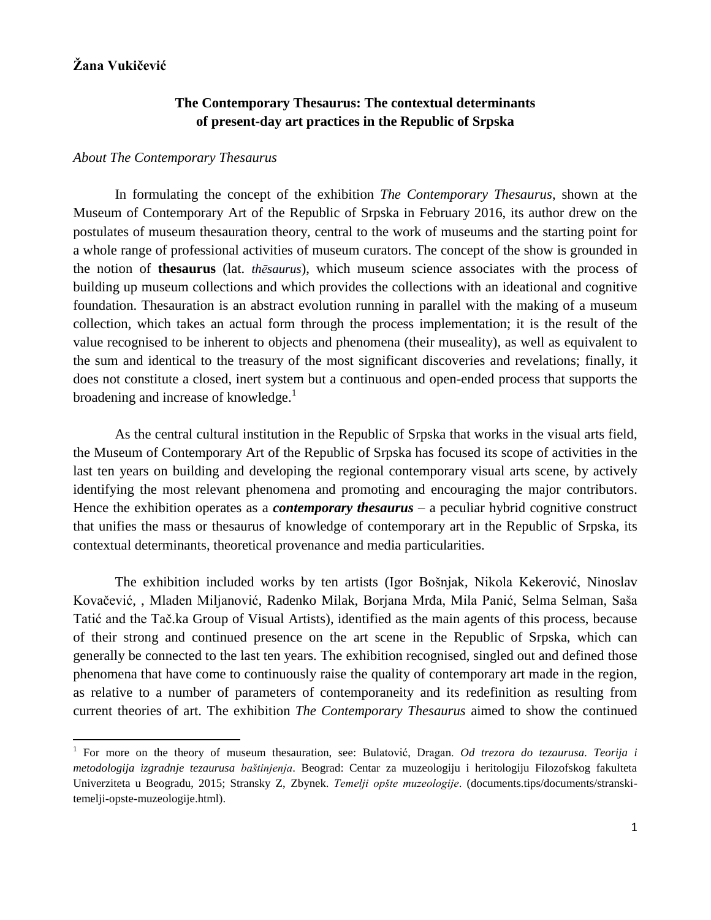# **Žana Vukičević**

 $\overline{\phantom{a}}$ 

## **The Contemporary Thesaurus: The contextual determinants of present-day art practices in the Republic of Srpska**

#### *About The Contemporary Thesaurus*

In formulating the concept of the exhibition *The Contemporary Thesaurus*, shown at the Museum of Contemporary Art of the Republic of Srpska in February 2016, its author drew on the postulates of museum thesauration theory, central to the work of museums and the starting point for a whole range of professional activities of museum curators. The concept of the show is grounded in the notion of **thesaurus** (lat. *thēsaurus*), which museum science associates with the process of building up museum collections and which provides the collections with an ideational and cognitive foundation. Thesauration is an abstract evolution running in parallel with the making of a museum collection, which takes an actual form through the process implementation; it is the result of the value recognised to be inherent to objects and phenomena (their museality), as well as equivalent to the sum and identical to the treasury of the most significant discoveries and revelations; finally, it does not constitute a closed, inert system but a continuous and open-ended process that supports the broadening and increase of knowledge.<sup>1</sup>

As the central cultural institution in the Republic of Srpska that works in the visual arts field, the Museum of Contemporary Art of the Republic of Srpska has focused its scope of activities in the last ten years on building and developing the regional contemporary visual arts scene, by actively identifying the most relevant phenomena and promoting and encouraging the major contributors. Hence the exhibition operates as a *contemporary thesaurus* – a peculiar hybrid cognitive construct that unifies the mass or thesaurus of knowledge of contemporary art in the Republic of Srpska, its contextual determinants, theoretical provenance and media particularities.

The exhibition included works by ten artists (Igor Bošnjak, Nikola Kekerović, Ninoslav Kovačević, , Mladen Miljanović, Radenko Milak, Borjana Mrđa, Mila Panić, Selma Selman, Saša Tatić and the Tač.ka Group of Visual Artists), identified as the main agents of this process, because of their strong and continued presence on the art scene in the Republic of Srpska, which can generally be connected to the last ten years. The exhibition recognised, singled out and defined those phenomena that have come to continuously raise the quality of contemporary art made in the region, as relative to a number of parameters of contemporaneity and its redefinition as resulting from current theories of art. The exhibition *The Contemporary Thesaurus* aimed to show the continued

<sup>&</sup>lt;sup>1</sup> For more on the theory of museum thesauration, see: Bulatović, Dragan. *Od trezora do tezaurusa. Teorija i metodologija izgradnje tezaurusa baštinjenja*. Beograd: Centar za muzeologiju i heritologiju Filozofskog fakulteta Univerziteta u Beogradu, 2015; Stransky Z, Zbynek. *Temelji opšte muzeologije*. (documents.tips/documents/stranskitemelji-opste-muzeologije.html).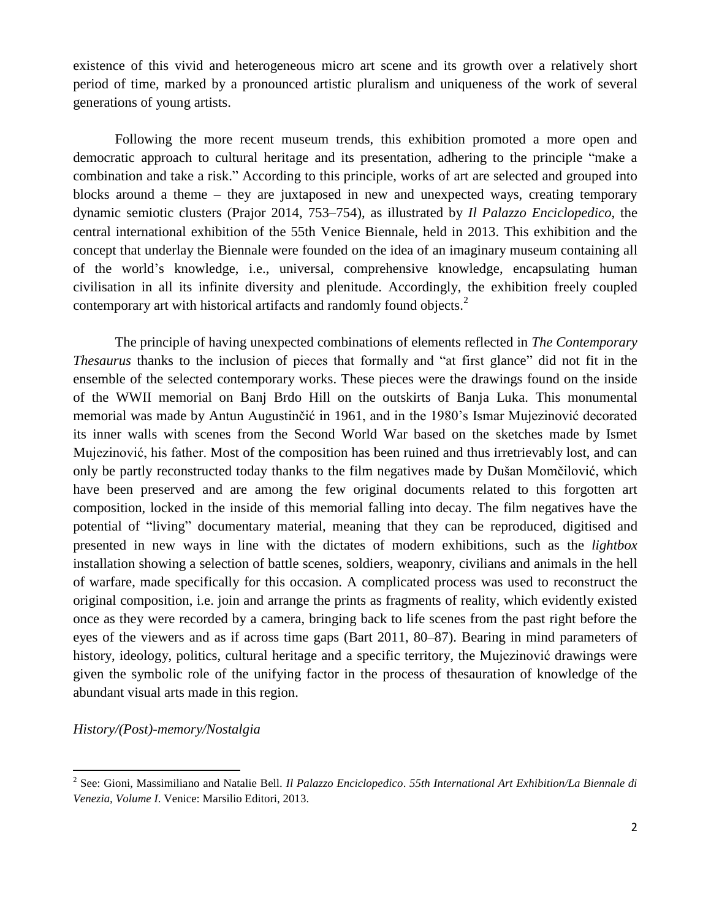existence of this vivid and heterogeneous micro art scene and its growth over a relatively short period of time, marked by a pronounced artistic pluralism and uniqueness of the work of several generations of young artists.

Following the more recent museum trends, this exhibition promoted a more open and democratic approach to cultural heritage and its presentation, adhering to the principle "make a combination and take a risk.ˮ According to this principle, works of art are selected and grouped into blocks around a theme – they are juxtaposed in new and unexpected ways, creating temporary dynamic semiotic clusters (Prajor 2014, 753–754), as illustrated by *Il Palazzo Enciclopedico*, the central international exhibition of the 55th Venice Biennale, held in 2013. This exhibition and the concept that underlay the Biennale were founded on the idea of an imaginary museum containing all of the world's knowledge, i.e., universal, comprehensive knowledge, encapsulating human civilisation in all its infinite diversity and plenitude. Accordingly, the exhibition freely coupled contemporary art with historical artifacts and randomly found objects.<sup>2</sup>

The principle of having unexpected combinations of elements reflected in *The Contemporary Thesaurus* thanks to the inclusion of pieces that formally and "at first glance" did not fit in the ensemble of the selected contemporary works. These pieces were the drawings found on the inside of the WWII memorial on Banj Brdo Hill on the outskirts of Banja Luka. This monumental memorial was made by Antun Augustinčić in 1961, and in the 1980's Ismar Mujezinović decorated its inner walls with scenes from the Second World War based on the sketches made by Ismet Mujezinović, his father. Most of the composition has been ruined and thus irretrievably lost, and can only be partly reconstructed today thanks to the film negatives made by Dušan Momčilović, which have been preserved and are among the few original documents related to this forgotten art composition, locked in the inside of this memorial falling into decay. The film negatives have the potential of "livingˮ documentary material, meaning that they can be reproduced, digitised and presented in new ways in line with the dictates of modern exhibitions, such as the *lightbox* installation showing a selection of battle scenes, soldiers, weaponry, civilians and animals in the hell of warfare, made specifically for this occasion. A complicated process was used to reconstruct the original composition, i.e. join and arrange the prints as fragments of reality, which evidently existed once as they were recorded by a camera, bringing back to life scenes from the past right before the eyes of the viewers and as if across time gaps (Bart 2011, 80–87). Bearing in mind parameters of history, ideology, politics, cultural heritage and a specific territory, the Mujezinović drawings were given the symbolic role of the unifying factor in the process of thesauration of knowledge of the abundant visual arts made in this region.

*History/(Post)-memory/Nostalgia*

l

<sup>2</sup> See: Gioni, Massimiliano and Natalie Bell. *Il Palazzo Enciclopedico*. *55th International Art Exhibition/La Biennale di Venezia, Volume I*. Venice: Marsilio Editori, 2013.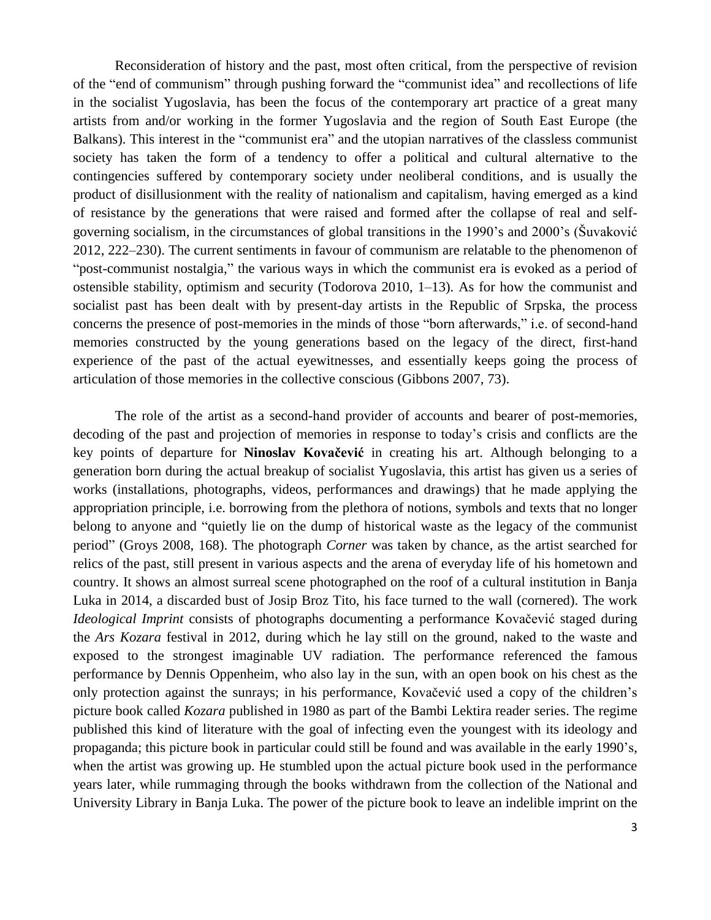Reconsideration of history and the past, most often critical, from the perspective of revision of the "end of communism" through pushing forward the "communist idea" and recollections of life in the socialist Yugoslavia, has been the focus of the contemporary art practice of a great many artists from and/or working in the former Yugoslavia and the region of South East Europe (the Balkans). This interest in the "communist era" and the utopian narratives of the classless communist society has taken the form of a tendency to offer a political and cultural alternative to the contingencies suffered by contemporary society under neoliberal conditions, and is usually the product of disillusionment with the reality of nationalism and capitalism, having emerged as a kind of resistance by the generations that were raised and formed after the collapse of real and selfgoverning socialism, in the circumstances of global transitions in the 1990's and 2000's (Šuvaković 2012, 222–230). The current sentiments in favour of communism are relatable to the phenomenon of "post-communist nostalgia," the various ways in which the communist era is evoked as a period of ostensible stability, optimism and security (Todorova 2010, 1–13). As for how the communist and socialist past has been dealt with by present-day artists in the Republic of Srpska, the process concerns the presence of post-memories in the minds of those "born afterwards," i.e. of second-hand memories constructed by the young generations based on the legacy of the direct, first-hand experience of the past of the actual eyewitnesses, and essentially keeps going the process of articulation of those memories in the collective conscious (Gibbons 2007, 73).

The role of the artist as a second-hand provider of accounts and bearer of post-memories, decoding of the past and projection of memories in response to today's crisis and conflicts are the key points of departure for **Ninoslav Kovačević** in creating his art. Although belonging to a generation born during the actual breakup of socialist Yugoslavia, this artist has given us a series of works (installations, photographs, videos, performances and drawings) that he made applying the appropriation principle, i.e. borrowing from the plethora of notions, symbols and texts that no longer belong to anyone and "quietly lie on the dump of historical waste as the legacy of the communist periodˮ (Groys 2008, 168). The photograph *Corner* was taken by chance, as the artist searched for relics of the past, still present in various aspects and the arena of everyday life of his hometown and country. It shows an almost surreal scene photographed on the roof of a cultural institution in Banja Luka in 2014, a discarded bust of Josip Broz Tito, his face turned to the wall (cornered). The work *Ideological Imprint* consists of photographs documenting a performance Kovačević staged during the *Ars Kozara* festival in 2012, during which he lay still on the ground, naked to the waste and exposed to the strongest imaginable UV radiation. The performance referenced the famous performance by Dennis Oppenheim, who also lay in the sun, with an open book on his chest as the only protection against the sunrays; in his performance, Kovačević used a copy of the children's picture book called *Kozara* published in 1980 as part of the Bambi Lektira reader series. The regime published this kind of literature with the goal of infecting even the youngest with its ideology and propaganda; this picture book in particular could still be found and was available in the early 1990's, when the artist was growing up. He stumbled upon the actual picture book used in the performance years later, while rummaging through the books withdrawn from the collection of the National and University Library in Banja Luka. The power of the picture book to leave an indelible imprint on the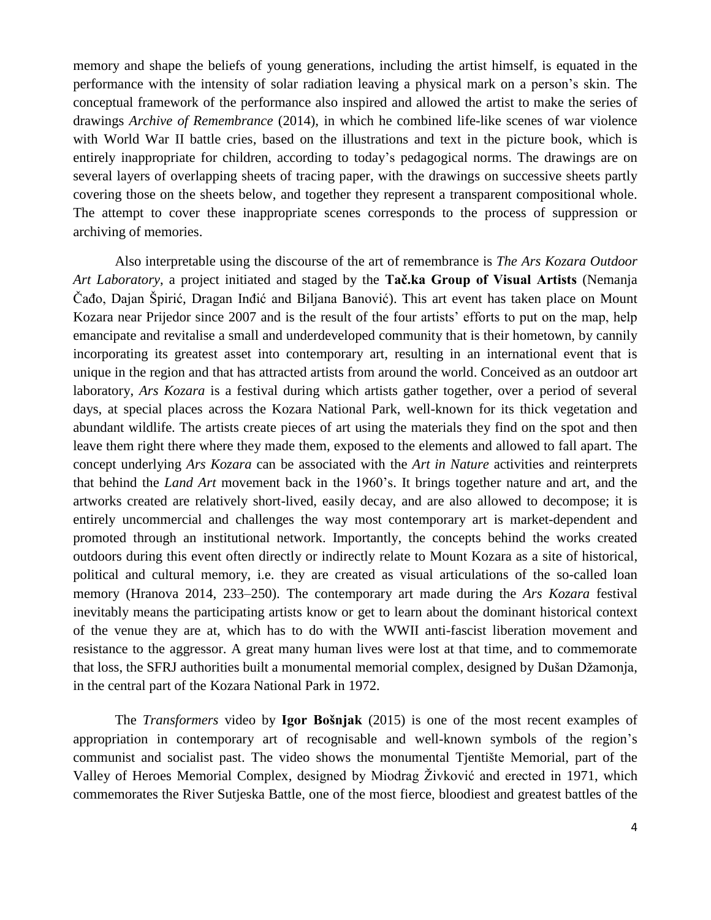memory and shape the beliefs of young generations, including the artist himself, is equated in the performance with the intensity of solar radiation leaving a physical mark on a person's skin. The conceptual framework of the performance also inspired and allowed the artist to make the series of drawings *Archive of Remembrance* (2014), in which he combined life-like scenes of war violence with World War II battle cries, based on the illustrations and text in the picture book, which is entirely inappropriate for children, according to today's pedagogical norms. The drawings are on several layers of overlapping sheets of tracing paper, with the drawings on successive sheets partly covering those on the sheets below, and together they represent a transparent compositional whole. The attempt to cover these inappropriate scenes corresponds to the process of suppression or archiving of memories.

Also interpretable using the discourse of the art of remembrance is *The Ars Kozara Outdoor Art Laboratory*, a project initiated and staged by the **Tač.ka Group of Visual Artists** (Nemanja Čađo, Dajan Špirić, Dragan Inđić and Biljana Banović). This art event has taken place on Mount Kozara near Prijedor since 2007 and is the result of the four artists' efforts to put on the map, help emancipate and revitalise a small and underdeveloped community that is their hometown, by cannily incorporating its greatest asset into contemporary art, resulting in an international event that is unique in the region and that has attracted artists from around the world. Conceived as an outdoor art laboratory, *Ars Kozara* is a festival during which artists gather together, over a period of several days, at special places across the Kozara National Park, well-known for its thick vegetation and abundant wildlife. The artists create pieces of art using the materials they find on the spot and then leave them right there where they made them, exposed to the elements and allowed to fall apart. The concept underlying *Ars Kozara* can be associated with the *Art in Nature* activities and reinterprets that behind the *Land Art* movement back in the 1960's. It brings together nature and art, and the artworks created are relatively short-lived, easily decay, and are also allowed to decompose; it is entirely uncommercial and challenges the way most contemporary art is market-dependent and promoted through an institutional network. Importantly, the concepts behind the works created outdoors during this event often directly or indirectly relate to Mount Kozara as a site of historical, political and cultural memory, i.e. they are created as visual articulations of the so-called loan memory (Hranova 2014, 233–250). The contemporary art made during the *Ars Kozara* festival inevitably means the participating artists know or get to learn about the dominant historical context of the venue they are at, which has to do with the WWII anti-fascist liberation movement and resistance to the aggressor. A great many human lives were lost at that time, and to commemorate that loss, the SFRJ authorities built a monumental memorial complex, designed by Dušan Džamonja, in the central part of the Kozara National Park in 1972.

The *Transformers* video by **Igor Bošnjak** (2015) is one of the most recent examples of appropriation in contemporary art of recognisable and well-known symbols of the region's communist and socialist past. The video shows the monumental Tjentište Memorial, part of the Valley of Heroes Memorial Complex, designed by Miodrag Živković and erected in 1971, which commemorates the River Sutjeska Battle, one of the most fierce, bloodiest and greatest battles of the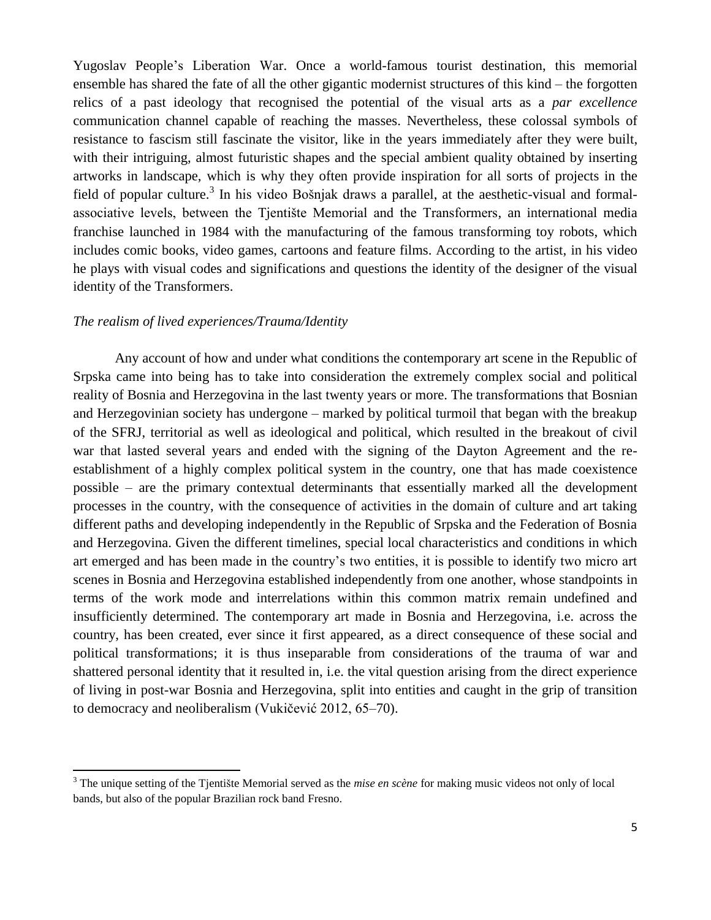Yugoslav People's Liberation War. Once a world-famous tourist destination, this memorial ensemble has shared the fate of all the other gigantic modernist structures of this kind – the forgotten relics of a past ideology that recognised the potential of the visual arts as a *par excellence* communication channel capable of reaching the masses. Nevertheless, these colossal symbols of resistance to fascism still fascinate the visitor, like in the years immediately after they were built, with their intriguing, almost futuristic shapes and the special ambient quality obtained by inserting artworks in landscape, which is why they often provide inspiration for all sorts of projects in the field of popular culture.<sup>3</sup> In his video Bošnjak draws a parallel, at the aesthetic-visual and formalassociative levels, between the Tjentište Memorial and the Transformers, an international media franchise launched in 1984 with the manufacturing of the famous transforming toy robots, which includes comic books, video games, cartoons and feature films. According to the artist, in his video he plays with visual codes and significations and questions the identity of the designer of the visual identity of the Transformers.

#### *The realism of lived experiences/Trauma/Identity*

l

Any account of how and under what conditions the contemporary art scene in the Republic of Srpska came into being has to take into consideration the extremely complex social and political reality of Bosnia and Herzegovina in the last twenty years or more. The transformations that Bosnian and Herzegovinian society has undergone – marked by political turmoil that began with the breakup of the SFRJ, territorial as well as ideological and political, which resulted in the breakout of civil war that lasted several years and ended with the signing of the Dayton Agreement and the reestablishment of a highly complex political system in the country, one that has made coexistence possible – are the primary contextual determinants that essentially marked all the development processes in the country, with the consequence of activities in the domain of culture and art taking different paths and developing independently in the Republic of Srpska and the Federation of Bosnia and Herzegovina. Given the different timelines, special local characteristics and conditions in which art emerged and has been made in the country's two entities, it is possible to identify two micro art scenes in Bosnia and Herzegovina established independently from one another, whose standpoints in terms of the work mode and interrelations within this common matrix remain undefined and insufficiently determined. The contemporary art made in Bosnia and Herzegovina, i.e. across the country, has been created, ever since it first appeared, as a direct consequence of these social and political transformations; it is thus inseparable from considerations of the trauma of war and shattered personal identity that it resulted in, i.e. the vital question arising from the direct experience of living in post-war Bosnia and Herzegovina, split into entities and caught in the grip of transition to democracy and neoliberalism (Vukičević 2012, 65–70).

<sup>&</sup>lt;sup>3</sup> The unique setting of the Tjentište Memorial served as the *mise en scène* for making music videos not only of local bands, but also of the popular Brazilian rock band Fresno.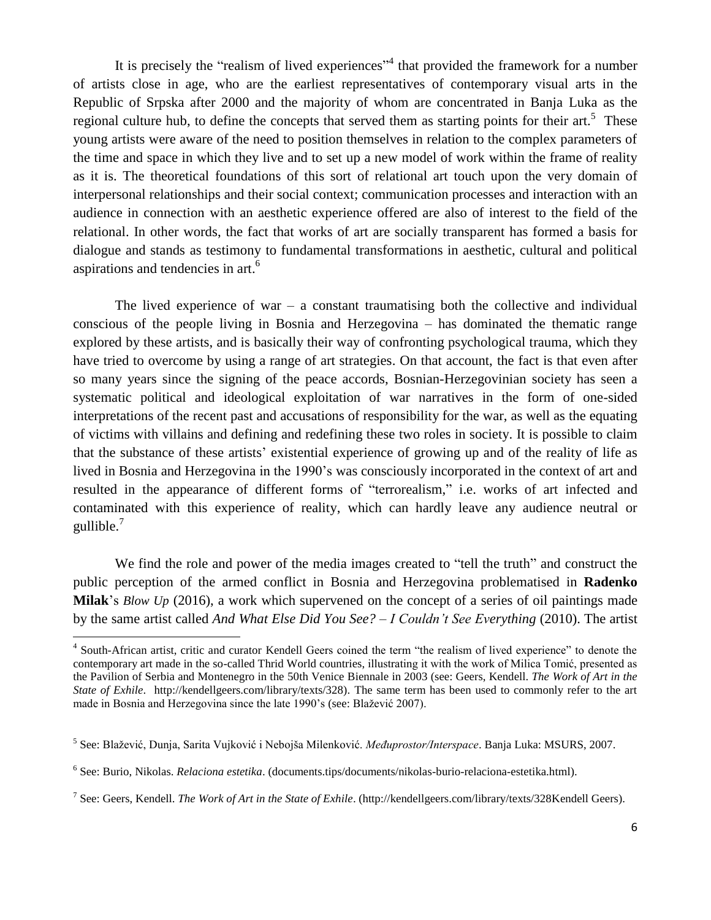It is precisely the "realism of lived experiences"<sup>4</sup> that provided the framework for a number of artists close in age, who are the earliest representatives of contemporary visual arts in the Republic of Srpska after 2000 and the majority of whom are concentrated in Banja Luka as the regional culture hub, to define the concepts that served them as starting points for their art.<sup>5</sup> These young artists were aware of the need to position themselves in relation to the complex parameters of the time and space in which they live and to set up a new model of work within the frame of reality as it is. The theoretical foundations of this sort of relational art touch upon the very domain of interpersonal relationships and their social context; communication processes and interaction with an audience in connection with an aesthetic experience offered are also of interest to the field of the relational. In other words, the fact that works of art are socially transparent has formed a basis for dialogue and stands as testimony to fundamental transformations in aesthetic, cultural and political aspirations and tendencies in art.<sup>6</sup>

The lived experience of war – a constant traumatising both the collective and individual conscious of the people living in Bosnia and Herzegovina – has dominated the thematic range explored by these artists, and is basically their way of confronting psychological trauma, which they have tried to overcome by using a range of art strategies. On that account, the fact is that even after so many years since the signing of the peace accords, Bosnian-Herzegovinian society has seen a systematic political and ideological exploitation of war narratives in the form of one-sided interpretations of the recent past and accusations of responsibility for the war, as well as the equating of victims with villains and defining and redefining these two roles in society. It is possible to claim that the substance of these artists' existential experience of growing up and of the reality of life as lived in Bosnia and Herzegovina in the 1990's was consciously incorporated in the context of art and resulted in the appearance of different forms of "terrorealism," i.e. works of art infected and contaminated with this experience of reality, which can hardly leave any audience neutral or gullible.<sup>7</sup>

We find the role and power of the media images created to "tell the truth" and construct the public perception of the armed conflict in Bosnia and Herzegovina problematised in **Radenko Milak**'s *Blow Up* (2016), a work which supervened on the concept of a series of oil paintings made by the same artist called *And What Else Did You See? – I Couldn't See Everything* (2010). The artist

l

<sup>&</sup>lt;sup>4</sup> South-African artist, critic and curator Kendell Geers coined the term "the realism of lived experience" to denote the contemporary art made in the so-called Thrid World countries, illustrating it with the work of Milica Tomić, presented as the Pavilion of Serbia and Montenegro in the 50th Venice Biennale in 2003 (see: Geers, Kendell. *The Work of Art in the State of Exhile*. http://kendellgeers.com/library/texts/328). The same term has been used to commonly refer to the art made in Bosnia and Herzegovina since the late 1990's (see: Blažević 2007).

<sup>&</sup>lt;sup>5</sup> See: Blažević, Dunja, Sarita Vujković i Nebojša Milenković. *Međuprostor/Interspace*. Banja Luka: MSURS, 2007.

<sup>6</sup> See: Burio, Nikolas. *Relaciona estetika*. (documents.tips/documents/nikolas-burio-relaciona-estetika.html).

<sup>7</sup> See: Geers, Kendell. *The Work of Art in the State of Exhile*. (http://kendellgeers.com/library/texts/328Kendell Geers).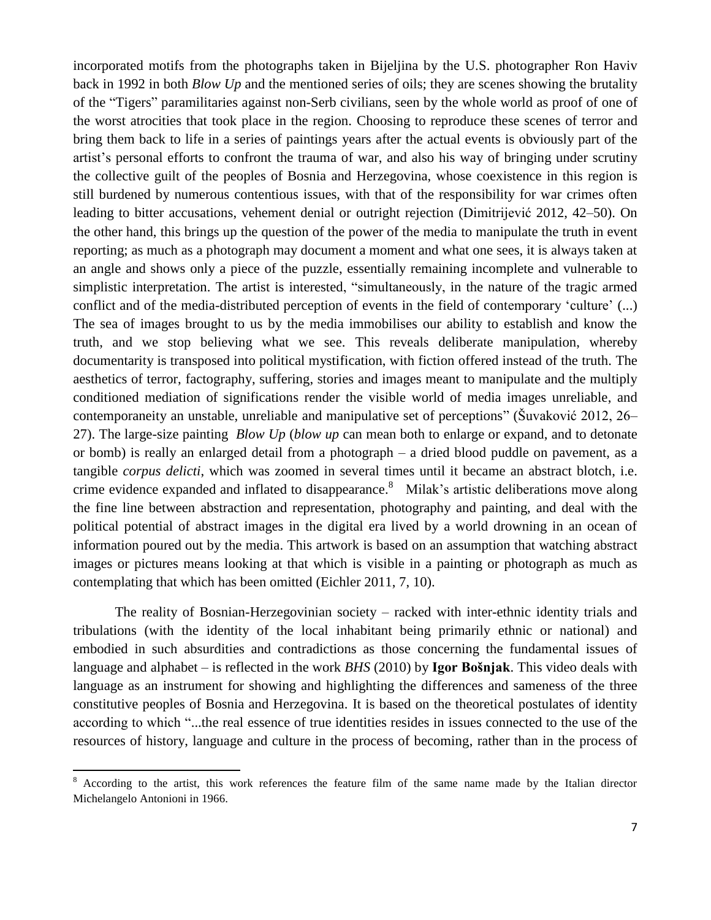incorporated motifs from the photographs taken in Bijeljina by the U.S. photographer Ron Haviv back in 1992 in both *Blow Up* and the mentioned series of oils; they are scenes showing the brutality of the "Tigersˮ paramilitaries against non-Serb civilians, seen by the whole world as proof of one of the worst atrocities that took place in the region. Choosing to reproduce these scenes of terror and bring them back to life in a series of paintings years after the actual events is obviously part of the artist's personal efforts to confront the trauma of war, and also his way of bringing under scrutiny the collective guilt of the peoples of Bosnia and Herzegovina, whose coexistence in this region is still burdened by numerous contentious issues, with that of the responsibility for war crimes often leading to bitter accusations, vehement denial or outright rejection (Dimitrijević 2012, 42–50). On the other hand, this brings up the question of the power of the media to manipulate the truth in event reporting; as much as a photograph may document a moment and what one sees, it is always taken at an angle and shows only a piece of the puzzle, essentially remaining incomplete and vulnerable to simplistic interpretation. The artist is interested, "simultaneously, in the nature of the tragic armed conflict and of the media-distributed perception of events in the field of contemporary ʻculture' (...) The sea of images brought to us by the media immobilises our ability to establish and know the truth, and we stop believing what we see. This reveals deliberate manipulation, whereby documentarity is transposed into political mystification, with fiction offered instead of the truth. The aesthetics of terror, factography, suffering, stories and images meant to manipulate and the multiply conditioned mediation of significations render the visible world of media images unreliable, and contemporaneity an unstable, unreliable and manipulative set of perceptions" (Suvaković 2012, 26– 27). The large-size painting *Blow Up* (*blow up* can mean both to enlarge or expand, and to detonate or bomb) is really an enlarged detail from a photograph – a dried blood puddle on pavement, as a tangible *corpus delicti*, which was zoomed in several times until it became an abstract blotch, i.e. crime evidence expanded and inflated to disappearance.<sup>8</sup> Milak's artistic deliberations move along the fine line between abstraction and representation, photography and painting, and deal with the political potential of abstract images in the digital era lived by a world drowning in an ocean of information poured out by the media. This artwork is based on an assumption that watching abstract images or pictures means looking at that which is visible in a painting or photograph as much as contemplating that which has been omitted (Eichler 2011, 7, 10).

The reality of Bosnian-Herzegovinian society – racked with inter-ethnic identity trials and tribulations (with the identity of the local inhabitant being primarily ethnic or national) and embodied in such absurdities and contradictions as those concerning the fundamental issues of language and alphabet – is reflected in the work *BHS* (2010) by **Igor Bošnjak**. This video deals with language as an instrument for showing and highlighting the differences and sameness of the three constitutive peoples of Bosnia and Herzegovina. It is based on the theoretical postulates of identity according to which "...the real essence of true identities resides in issues connected to the use of the resources of history, language and culture in the process of becoming, rather than in the process of

l

<sup>&</sup>lt;sup>8</sup> According to the artist, this work references the feature film of the same name made by the Italian director Michelangelo Antonioni in 1966.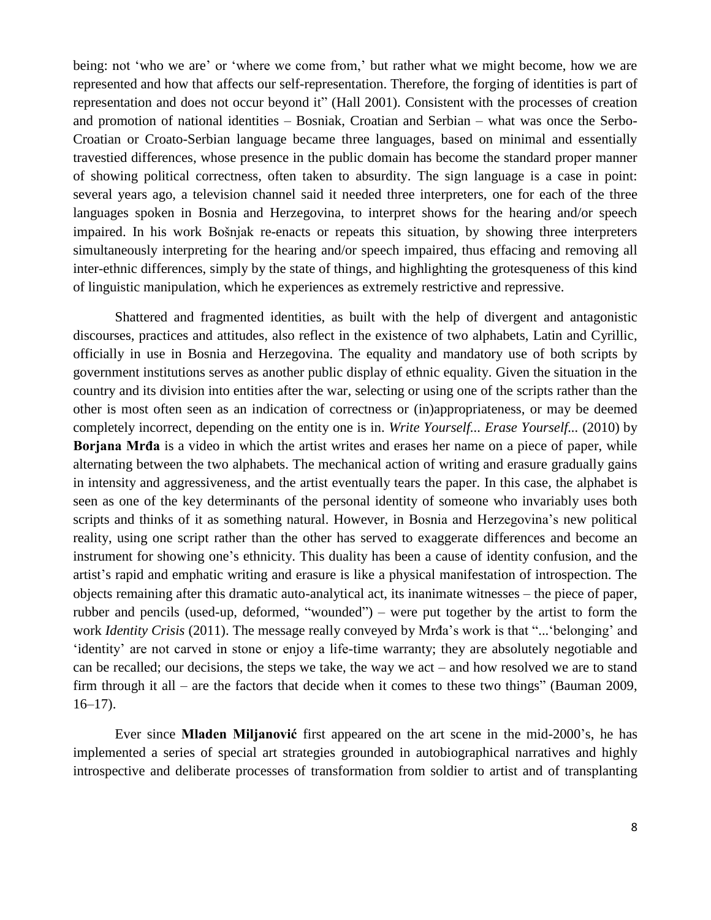being: not ʻwho we are' or ʻwhere we come from,' but rather what we might become, how we are represented and how that affects our self-representation. Therefore, the forging of identities is part of representation and does not occur beyond it" (Hall 2001). Consistent with the processes of creation and promotion of national identities – Bosniak, Croatian and Serbian – what was once the Serbo-Croatian or Croato-Serbian language became three languages, based on minimal and essentially travestied differences, whose presence in the public domain has become the standard proper manner of showing political correctness, often taken to absurdity. The sign language is a case in point: several years ago, a television channel said it needed three interpreters, one for each of the three languages spoken in Bosnia and Herzegovina, to interpret shows for the hearing and/or speech impaired. In his work Bošnjak re-enacts or repeats this situation, by showing three interpreters simultaneously interpreting for the hearing and/or speech impaired, thus effacing and removing all inter-ethnic differences, simply by the state of things, and highlighting the grotesqueness of this kind of linguistic manipulation, which he experiences as extremely restrictive and repressive.

Shattered and fragmented identities, as built with the help of divergent and antagonistic discourses, practices and attitudes, also reflect in the existence of two alphabets, Latin and Cyrillic, officially in use in Bosnia and Herzegovina. The equality and mandatory use of both scripts by government institutions serves as another public display of ethnic equality. Given the situation in the country and its division into entities after the war, selecting or using one of the scripts rather than the other is most often seen as an indication of correctness or (in)appropriateness, or may be deemed completely incorrect, depending on the entity one is in. *Write Yourself... Erase Yourself...* (2010) by **Borjana Mrđa** is a video in which the artist writes and erases her name on a piece of paper, while alternating between the two alphabets. The mechanical action of writing and erasure gradually gains in intensity and aggressiveness, and the artist eventually tears the paper. In this case, the alphabet is seen as one of the key determinants of the personal identity of someone who invariably uses both scripts and thinks of it as something natural. However, in Bosnia and Herzegovina's new political reality, using one script rather than the other has served to exaggerate differences and become an instrument for showing one's ethnicity. This duality has been a cause of identity confusion, and the artist's rapid and emphatic writing and erasure is like a physical manifestation of introspection. The objects remaining after this dramatic auto-analytical act, its inanimate witnesses – the piece of paper, rubber and pencils (used-up, deformed, "wounded") – were put together by the artist to form the work *Identity Crisis* (2011). The message really conveyed by Mrđa's work is that "... 'belonging' and ʻidentity' are not carved in stone or enjoy a life-time warranty; they are absolutely negotiable and can be recalled; our decisions, the steps we take, the way we act – and how resolved we are to stand firm through it all – are the factors that decide when it comes to these two things" (Bauman 2009,  $16-17$ ).

Ever since **Mladen Miljanović** first appeared on the art scene in the mid-2000's, he has implemented a series of special art strategies grounded in autobiographical narratives and highly introspective and deliberate processes of transformation from soldier to artist and of transplanting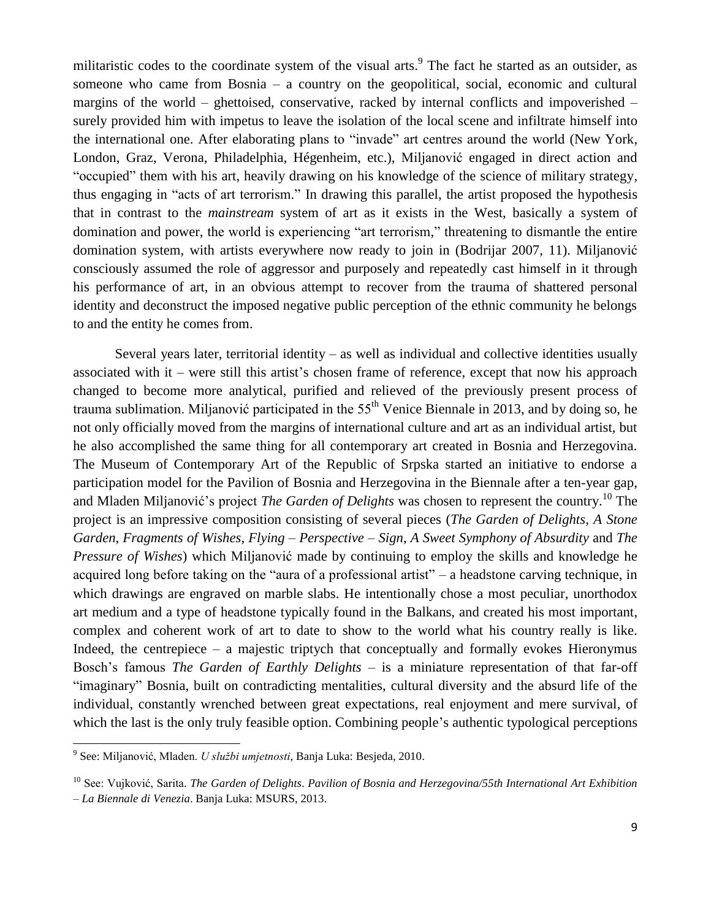militaristic codes to the coordinate system of the visual arts. 9 The fact he started as an outsider, as someone who came from Bosnia – a country on the geopolitical, social, economic and cultural margins of the world – ghettoised, conservative, racked by internal conflicts and impoverished – surely provided him with impetus to leave the isolation of the local scene and infiltrate himself into the international one. After elaborating plans to "invade" art centres around the world (New York, London, Graz, Verona, Philadelphia, Hégenheim, etc.), Miljanović engaged in direct action and "occupiedˮ them with his art, heavily drawing on his knowledge of the science of military strategy, thus engaging in "acts of art terrorism." In drawing this parallel, the artist proposed the hypothesis that in contrast to the *mainstream* system of art as it exists in the West, basically a system of domination and power, the world is experiencing "art terrorism," threatening to dismantle the entire domination system, with artists everywhere now ready to join in (Bodrijar 2007, 11). Miljanović consciously assumed the role of aggressor and purposely and repeatedly cast himself in it through his performance of art, in an obvious attempt to recover from the trauma of shattered personal identity and deconstruct the imposed negative public perception of the ethnic community he belongs to and the entity he comes from.

Several years later, territorial identity – as well as individual and collective identities usually associated with it – were still this artist's chosen frame of reference, except that now his approach changed to become more analytical, purified and relieved of the previously present process of trauma sublimation. Miljanović participated in the  $55<sup>th</sup>$  Venice Biennale in 2013, and by doing so, he not only officially moved from the margins of international culture and art as an individual artist, but he also accomplished the same thing for all contemporary art created in Bosnia and Herzegovina. The Museum of Contemporary Art of the Republic of Srpska started an initiative to endorse a participation model for the Pavilion of Bosnia and Herzegovina in the Biennale after a ten-year gap, and Mladen Miljanović's project *The Garden of Delights* was chosen to represent the country. <sup>10</sup> The project is an impressive composition consisting of several pieces (*The Garden of Delights*, *A Stone Garden*, *Fragments of Wishes*, *Flying – Perspective – Sign*, *A Sweet Symphony of Absurdity* and *The Pressure of Wishes*) which Miljanović made by continuing to employ the skills and knowledge he acquired long before taking on the "aura of a professional artist" – a headstone carving technique, in which drawings are engraved on marble slabs. He intentionally chose a most peculiar, unorthodox art medium and a type of headstone typically found in the Balkans, and created his most important, complex and coherent work of art to date to show to the world what his country really is like. Indeed, the centrepiece – a majestic triptych that conceptually and formally evokes Hieronymus Bosch's famous *The Garden of Earthly Delights* – is a miniature representation of that far-off "imaginary" Bosnia, built on contradicting mentalities, cultural diversity and the absurd life of the individual, constantly wrenched between great expectations, real enjoyment and mere survival, of which the last is the only truly feasible option. Combining people's authentic typological perceptions

 $\overline{\phantom{a}}$ 

<sup>9</sup> See: Miljanović, Mladen. *U službi umjetnosti*, Banja Luka: Besjeda, 2010.

<sup>10</sup> See: Vujković, Sarita. *The Garden of Delights*. *Pavilion of Bosnia and Herzegovina/55th International Art Exhibition* 

*<sup>–</sup> La Biennale di Venezia*. Banja Luka: MSURS, 2013.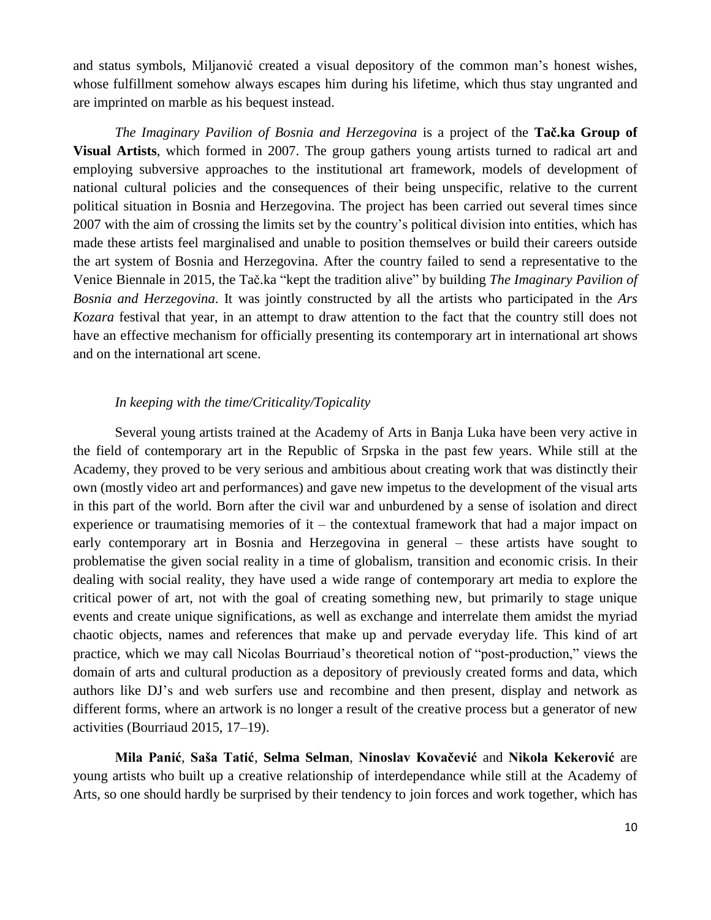and status symbols, Miljanović created a visual depository of the common man's honest wishes, whose fulfillment somehow always escapes him during his lifetime, which thus stay ungranted and are imprinted on marble as his bequest instead.

*The Imaginary Pavilion of Bosnia and Herzegovina* is a project of the **Tač.ka Group of Visual Artists**, which formed in 2007. The group gathers young artists turned to radical art and employing subversive approaches to the institutional art framework, models of development of national cultural policies and the consequences of their being unspecific, relative to the current political situation in Bosnia and Herzegovina. The project has been carried out several times since 2007 with the aim of crossing the limits set by the country's political division into entities, which has made these artists feel marginalised and unable to position themselves or build their careers outside the art system of Bosnia and Herzegovina. After the country failed to send a representative to the Venice Biennale in 2015, the Tač.ka "kept the tradition aliveˮ by building *The Imaginary Pavilion of Bosnia and Herzegovina*. It was jointly constructed by all the artists who participated in the *Ars Kozara* festival that year, in an attempt to draw attention to the fact that the country still does not have an effective mechanism for officially presenting its contemporary art in international art shows and on the international art scene.

### *In keeping with the time/Criticality/Topicality*

Several young artists trained at the Academy of Arts in Banja Luka have been very active in the field of contemporary art in the Republic of Srpska in the past few years. While still at the Academy, they proved to be very serious and ambitious about creating work that was distinctly their own (mostly video art and performances) and gave new impetus to the development of the visual arts in this part of the world. Born after the civil war and unburdened by a sense of isolation and direct experience or traumatising memories of  $it$  – the contextual framework that had a major impact on early contemporary art in Bosnia and Herzegovina in general – these artists have sought to problematise the given social reality in a time of globalism, transition and economic crisis. In their dealing with social reality, they have used a wide range of contemporary art media to explore the critical power of art, not with the goal of creating something new, but primarily to stage unique events and create unique significations, as well as exchange and interrelate them amidst the myriad chaotic objects, names and references that make up and pervade everyday life. This kind of art practice, which we may call Nicolas Bourriaud's theoretical notion of "post-production," views the domain of arts and cultural production as a depository of previously created forms and data, which authors like DJ's and web surfers use and recombine and then present, display and network as different forms, where an artwork is no longer a result of the creative process but a generator of new activities (Bourriaud 2015, 17–19).

**Mila Panić**, **Saša Tatić**, **Selma Selman**, **Ninoslav Kovačević** and **Nikola Kekerović** are young artists who built up a creative relationship of interdependance while still at the Academy of Arts, so one should hardly be surprised by their tendency to join forces and work together, which has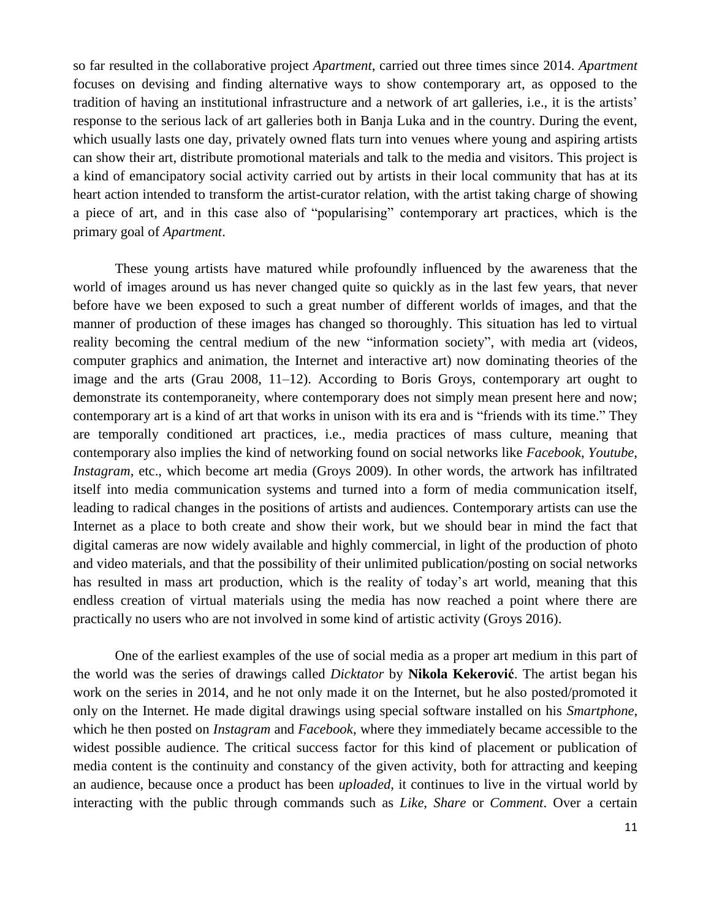so far resulted in the collaborative project *Apartment*, carried out three times since 2014. *Apartment*  focuses on devising and finding alternative ways to show contemporary art, as opposed to the tradition of having an institutional infrastructure and a network of art galleries, i.e., it is the artists' response to the serious lack of art galleries both in Banja Luka and in the country. During the event, which usually lasts one day, privately owned flats turn into venues where young and aspiring artists can show their art, distribute promotional materials and talk to the media and visitors. This project is a kind of emancipatory social activity carried out by artists in their local community that has at its heart action intended to transform the artist-curator relation, with the artist taking charge of showing a piece of art, and in this case also of "popularising" contemporary art practices, which is the primary goal of *Apartment*.

These young artists have matured while profoundly influenced by the awareness that the world of images around us has never changed quite so quickly as in the last few years, that never before have we been exposed to such a great number of different worlds of images, and that the manner of production of these images has changed so thoroughly. This situation has led to virtual reality becoming the central medium of the new "information society", with media art (videos, computer graphics and animation, the Internet and interactive art) now dominating theories of the image and the arts (Grau 2008, 11–12). According to Boris Groys, contemporary art ought to demonstrate its contemporaneity, where contemporary does not simply mean present here and now; contemporary art is a kind of art that works in unison with its era and is "friends with its time." They are temporally conditioned art practices, i.e., media practices of mass culture, meaning that contemporary also implies the kind of networking found on social networks like *Facebook*, *Youtube*, *Instagram*, etc., which become art media (Groys 2009). In other words, the artwork has infiltrated itself into media communication systems and turned into a form of media communication itself, leading to radical changes in the positions of artists and audiences. Contemporary artists can use the Internet as a place to both create and show their work, but we should bear in mind the fact that digital cameras are now widely available and highly commercial, in light of the production of photo and video materials, and that the possibility of their unlimited publication/posting on social networks has resulted in mass art production, which is the reality of today's art world, meaning that this endless creation of virtual materials using the media has now reached a point where there are practically no users who are not involved in some kind of artistic activity (Groys 2016).

One of the earliest examples of the use of social media as a proper art medium in this part of the world was the series of drawings called *Dicktator* by **Nikola Kekerović**. The artist began his work on the series in 2014, and he not only made it on the Internet, but he also posted/promoted it only on the Internet. He made digital drawings using special software installed on his *Smartphone*, which he then posted on *Instagram* and *Facebook*, where they immediately became accessible to the widest possible audience. The critical success factor for this kind of placement or publication of media content is the continuity and constancy of the given activity, both for attracting and keeping an audience, because once a product has been *uploaded*, it continues to live in the virtual world by interacting with the public through commands such as *Like*, *Share* or *Comment*. Over a certain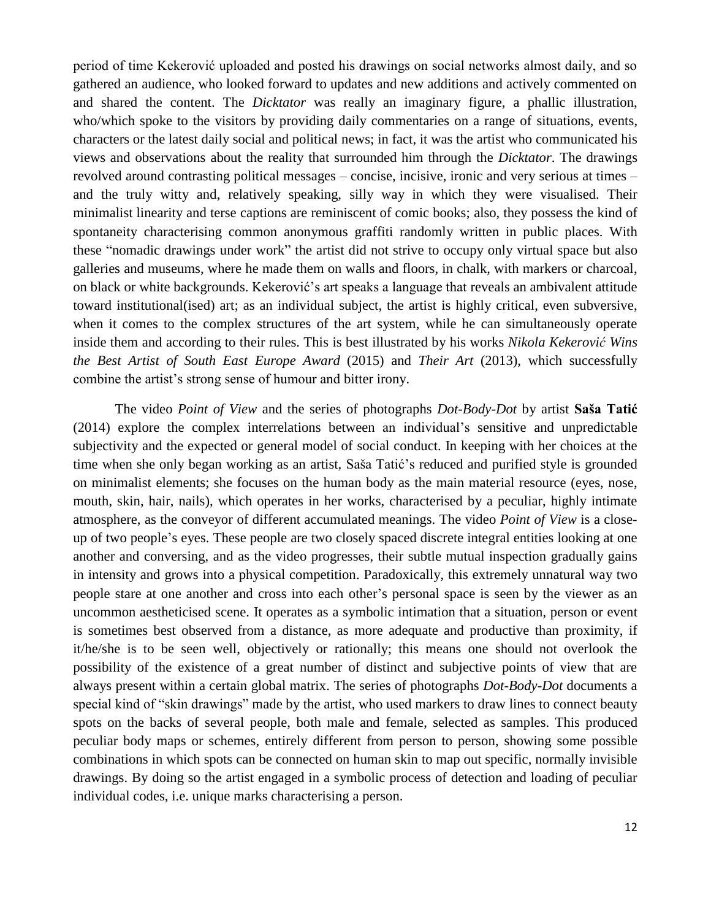period of time Kekerović uploaded and posted his drawings on social networks almost daily, and so gathered an audience, who looked forward to updates and new additions and actively commented on and shared the content. The *Dicktator* was really an imaginary figure, a phallic illustration, who/which spoke to the visitors by providing daily commentaries on a range of situations, events, characters or the latest daily social and political news; in fact, it was the artist who communicated his views and observations about the reality that surrounded him through the *Dicktator*. The drawings revolved around contrasting political messages – concise, incisive, ironic and very serious at times – and the truly witty and, relatively speaking, silly way in which they were visualised. Their minimalist linearity and terse captions are reminiscent of comic books; also, they possess the kind of spontaneity characterising common anonymous graffiti randomly written in public places. With these "nomadic drawings under work" the artist did not strive to occupy only virtual space but also galleries and museums, where he made them on walls and floors, in chalk, with markers or charcoal, on black or white backgrounds. Kekerović's art speaks a language that reveals an ambivalent attitude toward institutional(ised) art; as an individual subject, the artist is highly critical, even subversive, when it comes to the complex structures of the art system, while he can simultaneously operate inside them and according to their rules. This is best illustrated by his works *Nikola Kekerović Wins the Best Artist of South East Europe Award* (2015) and *Their Art* (2013), which successfully combine the artist's strong sense of humour and bitter irony.

The video *Point of View* and the series of photographs *Dot-Body-Dot* by artist **Saša Tatić** (2014) explore the complex interrelations between an individual's sensitive and unpredictable subjectivity and the expected or general model of social conduct. In keeping with her choices at the time when she only began working as an artist, Saša Tatić's reduced and purified style is grounded on minimalist elements; she focuses on the human body as the main material resource (eyes, nose, mouth, skin, hair, nails), which operates in her works, characterised by a peculiar, highly intimate atmosphere, as the conveyor of different accumulated meanings. The video *Point of View* is a closeup of two people's eyes. These people are two closely spaced discrete integral entities looking at one another and conversing, and as the video progresses, their subtle mutual inspection gradually gains in intensity and grows into a physical competition. Paradoxically, this extremely unnatural way two people stare at one another and cross into each other's personal space is seen by the viewer as an uncommon aestheticised scene. It operates as a symbolic intimation that a situation, person or event is sometimes best observed from a distance, as more adequate and productive than proximity, if it/he/she is to be seen well, objectively or rationally; this means one should not overlook the possibility of the existence of a great number of distinct and subjective points of view that are always present within a certain global matrix. The series of photographs *Dot-Body-Dot* documents a special kind of "skin drawings" made by the artist, who used markers to draw lines to connect beauty spots on the backs of several people, both male and female, selected as samples. This produced peculiar body maps or schemes, entirely different from person to person, showing some possible combinations in which spots can be connected on human skin to map out specific, normally invisible drawings. By doing so the artist engaged in a symbolic process of detection and loading of peculiar individual codes, i.e. unique marks characterising a person.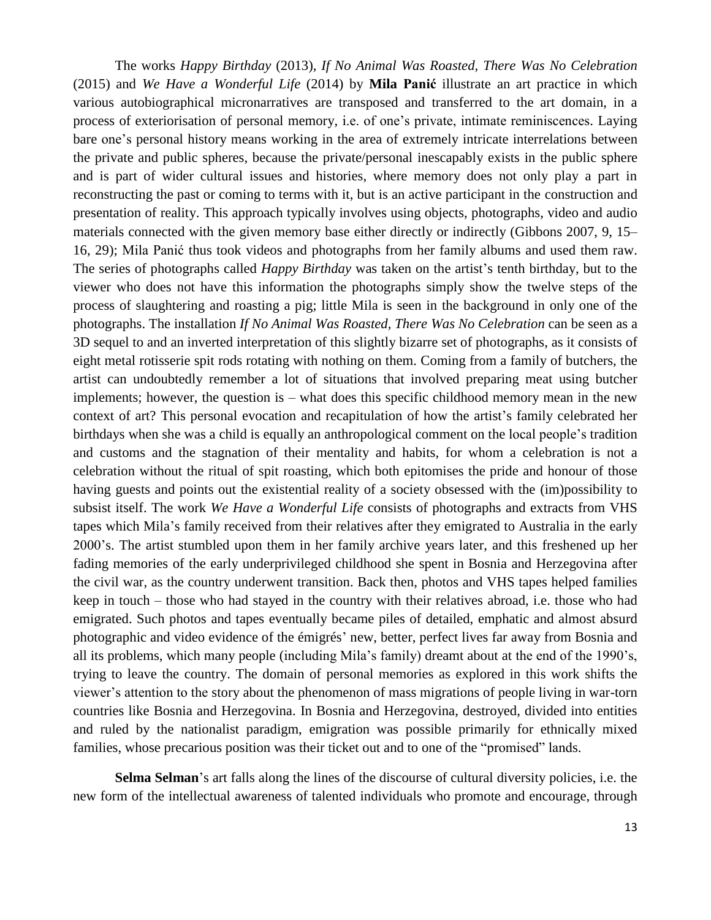The works *Happy Birthday* (2013), *If No Animal Was Roasted, There Was No Celebration* (2015) and *We Have a Wonderful Life* (2014) by **Mila Panić** illustrate an art practice in which various autobiographical micronarratives are transposed and transferred to the art domain, in a process of exteriorisation of personal memory, i.e. of one's private, intimate reminiscences. Laying bare one's personal history means working in the area of extremely intricate interrelations between the private and public spheres, because the private/personal inescapably exists in the public sphere and is part of wider cultural issues and histories, where memory does not only play a part in reconstructing the past or coming to terms with it, but is an active participant in the construction and presentation of reality. This approach typically involves using objects, photographs, video and audio materials connected with the given memory base either directly or indirectly (Gibbons 2007, 9, 15– 16, 29); Mila Panić thus took videos and photographs from her family albums and used them raw. The series of photographs called *Happy Birthday* was taken on the artist's tenth birthday, but to the viewer who does not have this information the photographs simply show the twelve steps of the process of slaughtering and roasting a pig; little Mila is seen in the background in only one of the photographs. The installation *If No Animal Was Roasted, There Was No Celebration* can be seen as a 3D sequel to and an inverted interpretation of this slightly bizarre set of photographs, as it consists of eight metal rotisserie spit rods rotating with nothing on them. Coming from a family of butchers, the artist can undoubtedly remember a lot of situations that involved preparing meat using butcher implements; however, the question is – what does this specific childhood memory mean in the new context of art? This personal evocation and recapitulation of how the artist's family celebrated her birthdays when she was a child is equally an anthropological comment on the local people's tradition and customs and the stagnation of their mentality and habits, for whom a celebration is not a celebration without the ritual of spit roasting, which both epitomises the pride and honour of those having guests and points out the existential reality of a society obsessed with the (im)possibility to subsist itself. The work *We Have a Wonderful Life* consists of photographs and extracts from VHS tapes which Mila's family received from their relatives after they emigrated to Australia in the early 2000's. The artist stumbled upon them in her family archive years later, and this freshened up her fading memories of the early underprivileged childhood she spent in Bosnia and Herzegovina after the civil war, as the country underwent transition. Back then, photos and VHS tapes helped families keep in touch – those who had stayed in the country with their relatives abroad, i.e. those who had emigrated. Such photos and tapes eventually became piles of detailed, emphatic and almost absurd photographic and video evidence of the émigrés' new, better, perfect lives far away from Bosnia and all its problems, which many people (including Mila's family) dreamt about at the end of the 1990's, trying to leave the country. The domain of personal memories as explored in this work shifts the viewer's attention to the story about the phenomenon of mass migrations of people living in war-torn countries like Bosnia and Herzegovina. In Bosnia and Herzegovina, destroyed, divided into entities and ruled by the nationalist paradigm, emigration was possible primarily for ethnically mixed families, whose precarious position was their ticket out and to one of the "promised" lands.

**Selma Selman**'s art falls along the lines of the discourse of cultural diversity policies, i.e. the new form of the intellectual awareness of talented individuals who promote and encourage, through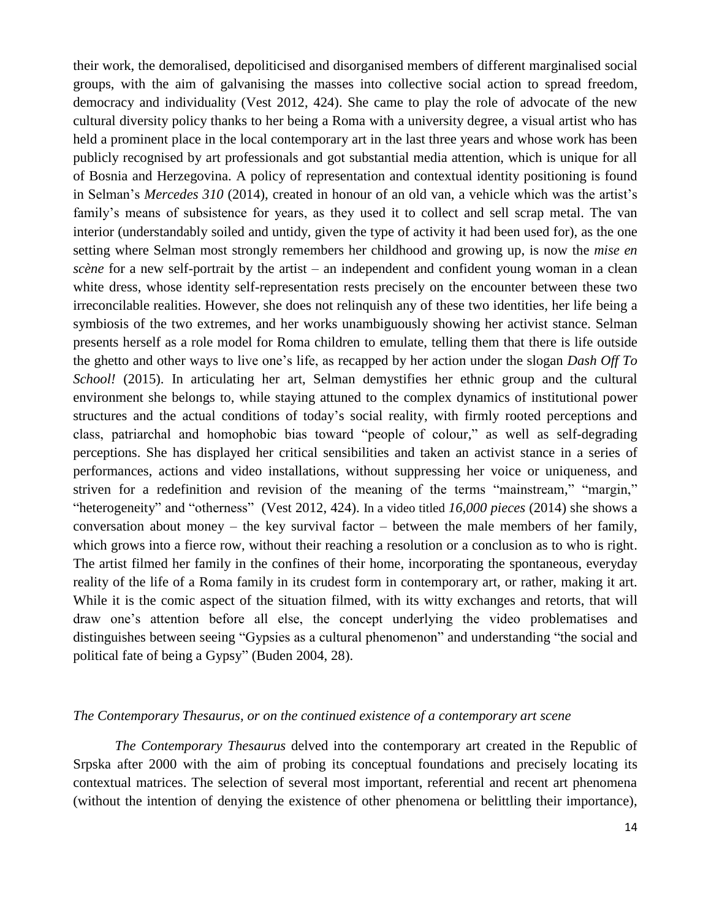their work, the demoralised, depoliticised and disorganised members of different marginalised social groups, with the aim of galvanising the masses into collective social action to spread freedom, democracy and individuality (Vest 2012, 424). She came to play the role of advocate of the new cultural diversity policy thanks to her being a Roma with a university degree, a visual artist who has held a prominent place in the local contemporary art in the last three years and whose work has been publicly recognised by art professionals and got substantial media attention, which is unique for all of Bosnia and Herzegovina. A policy of representation and contextual identity positioning is found in Selman's *Mercedes 310* (2014), created in honour of an old van, a vehicle which was the artist's family's means of subsistence for years, as they used it to collect and sell scrap metal. The van interior (understandably soiled and untidy, given the type of activity it had been used for), as the one setting where Selman most strongly remembers her childhood and growing up, is now the *mise en scène* for a new self-portrait by the artist – an independent and confident young woman in a clean white dress, whose identity self-representation rests precisely on the encounter between these two irreconcilable realities. However, she does not relinquish any of these two identities, her life being a symbiosis of the two extremes, and her works unambiguously showing her activist stance. Selman presents herself as a role model for Roma children to emulate, telling them that there is life outside the ghetto and other ways to live one's life, as recapped by her action under the slogan *Dash Off To School!* (2015). In articulating her art, Selman demystifies her ethnic group and the cultural environment she belongs to, while staying attuned to the complex dynamics of institutional power structures and the actual conditions of today's social reality, with firmly rooted perceptions and class, patriarchal and homophobic bias toward "people of colour," as well as self-degrading perceptions. She has displayed her critical sensibilities and taken an activist stance in a series of performances, actions and video installations, without suppressing her voice or uniqueness, and striven for a redefinition and revision of the meaning of the terms "mainstream," "margin," "heterogeneity" and "otherness" (Vest 2012, 424). In a video titled *16,000 pieces* (2014) she shows a conversation about money – the key survival factor – between the male members of her family, which grows into a fierce row, without their reaching a resolution or a conclusion as to who is right. The artist filmed her family in the confines of their home, incorporating the spontaneous, everyday reality of the life of a Roma family in its crudest form in contemporary art, or rather, making it art. While it is the comic aspect of the situation filmed, with its witty exchanges and retorts, that will draw one's attention before all else, the concept underlying the video problematises and distinguishes between seeing "Gypsies as a cultural phenomenon" and understanding "the social and political fate of being a Gypsy" (Buden 2004, 28).

### *The Contemporary Thesaurus, or on the continued existence of a contemporary art scene*

*The Contemporary Thesaurus* delved into the contemporary art created in the Republic of Srpska after 2000 with the aim of probing its conceptual foundations and precisely locating its contextual matrices. The selection of several most important, referential and recent art phenomena (without the intention of denying the existence of other phenomena or belittling their importance),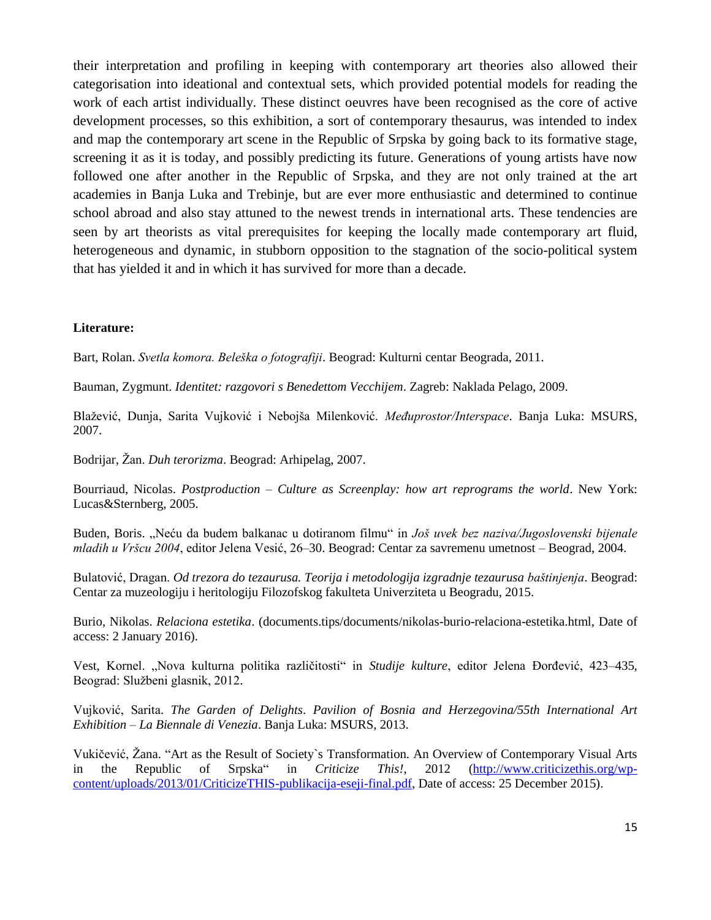their interpretation and profiling in keeping with contemporary art theories also allowed their categorisation into ideational and contextual sets, which provided potential models for reading the work of each artist individually. These distinct oeuvres have been recognised as the core of active development processes, so this exhibition, a sort of contemporary thesaurus, was intended to index and map the contemporary art scene in the Republic of Srpska by going back to its formative stage, screening it as it is today, and possibly predicting its future. Generations of young artists have now followed one after another in the Republic of Srpska, and they are not only trained at the art academies in Banja Luka and Trebinje, but are ever more enthusiastic and determined to continue school abroad and also stay attuned to the newest trends in international arts. These tendencies are seen by art theorists as vital prerequisites for keeping the locally made contemporary art fluid, heterogeneous and dynamic, in stubborn opposition to the stagnation of the socio-political system that has yielded it and in which it has survived for more than a decade.

#### **Literature:**

Bart, Rolan. *Svetla komora. Beleška o fotografiji*. Beograd: Kulturni centar Beograda, 2011.

Bauman, Zygmunt. *Identitet: razgovori s Benedettom Vecchijem*. Zagreb: Naklada Pelago, 2009.

Blaţević, Dunja, Sarita Vujković i Nebojša Milenković. *Međuprostor/Interspace*. Banja Luka: MSURS, 2007.

Bodrijar, Žan. *Duh terorizma*. Beograd: Arhipelag, 2007.

Bourriaud, Nicolas. *Postproduction – Culture as Screenplay: how art reprograms the world*. New York: Lucas&Sternberg, 2005.

Buden, Boris. "Neću da budem balkanac u dotiranom filmu" in *Još uvek bez naziva/Jugoslovenski bijenale mladih u Vršcu 2004*, editor Jelena Vesić, 26–30. Beograd: Centar za savremenu umetnost – Beograd, 2004.

Bulatović, Dragan. *Od trezora do tezaurusa. Teorija i metodologija izgradnje tezaurusa baštinjenja*. Beograd: Centar za muzeologiju i heritologiju Filozofskog fakulteta Univerziteta u Beogradu, 2015.

Burio, Nikolas. *Relaciona estetika*. (documents.tips/documents/nikolas-burio-relaciona-estetika.html, Date of access: 2 January 2016).

Vest, Kornel. "Nova kulturna politika različitosti" in *Studije kulture*, editor Jelena Đorđević, 423–435, Beograd: Službeni glasnik, 2012.

Vujković, Sarita. *The Garden of Delights*. *Pavilion of Bosnia and Herzegovina/55th International Art Exhibition – La Biennale di Venezia*. Banja Luka: MSURS, 2013.

Vukičević, Žana. "Art as the Result of Society's Transformation. An Overview of Contemporary Visual Arts in the Republic of Srpska" in *Criticize This!*, 2012 [\(http://www.criticizethis.org/wp](http://www.criticizethis.org/wp-content/uploads/2013/01/CriticizeTHIS-publikacija-eseji-final.pdf)[content/uploads/2013/01/CriticizeTHIS-publikacija-eseji-final.pdf,](http://www.criticizethis.org/wp-content/uploads/2013/01/CriticizeTHIS-publikacija-eseji-final.pdf) Date of access: 25 December 2015).